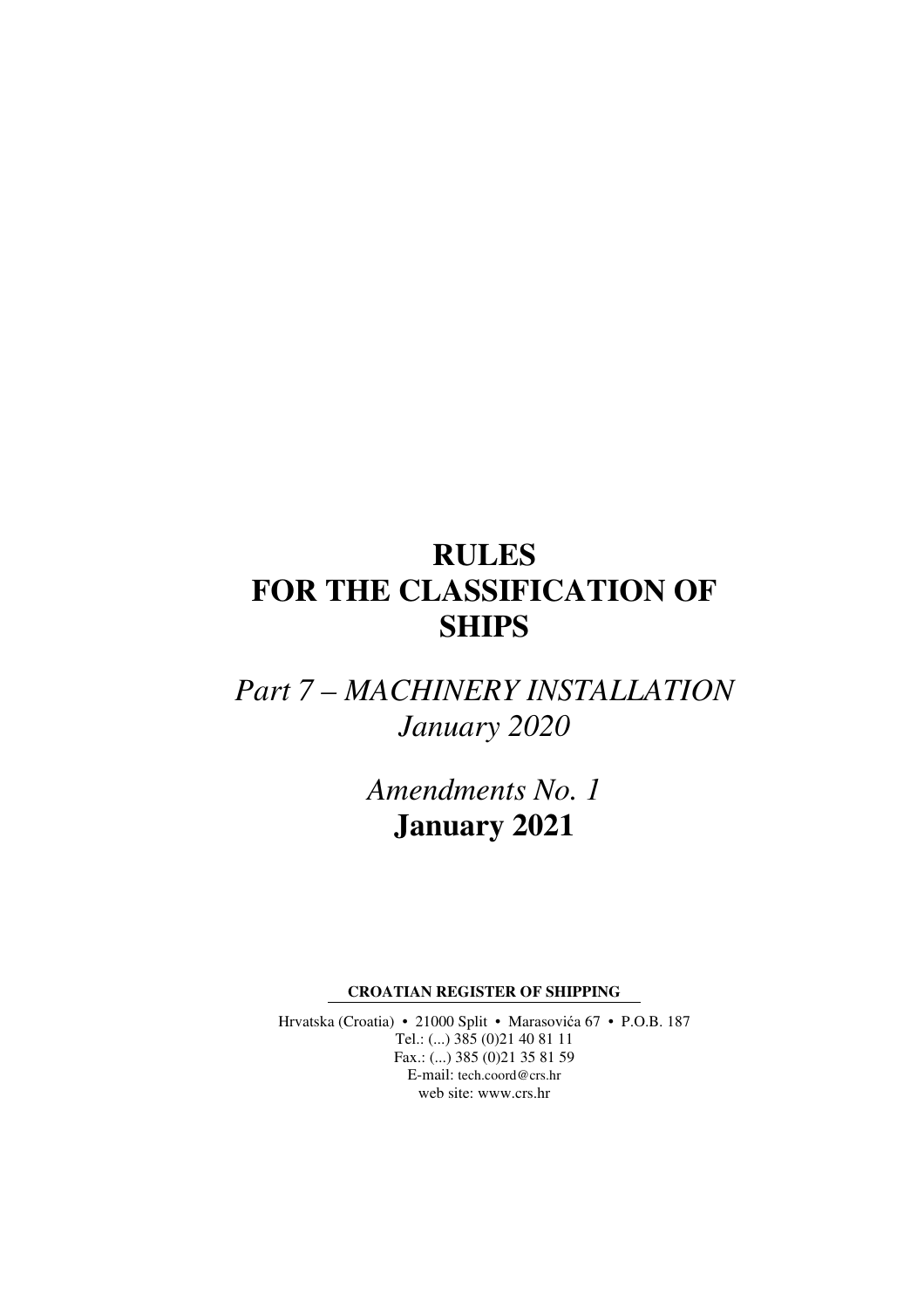# **RULES FOR THE CLASSIFICATION OF SHIPS**

*Part 7 – MACHINERY INSTALLATION January 2020* 

> *Amendments No. 1*  **January 2021**

**CROATIAN REGISTER OF SHIPPING** 

Hrvatska (Croatia) • 21000 Split • Marasovića 67 • P.O.B. 187 Tel.: (...) 385 (0)21 40 81 11 Fax.: (...) 385 (0)21 35 81 59 E-mail: tech.coord@crs.hr web site: www.crs.hr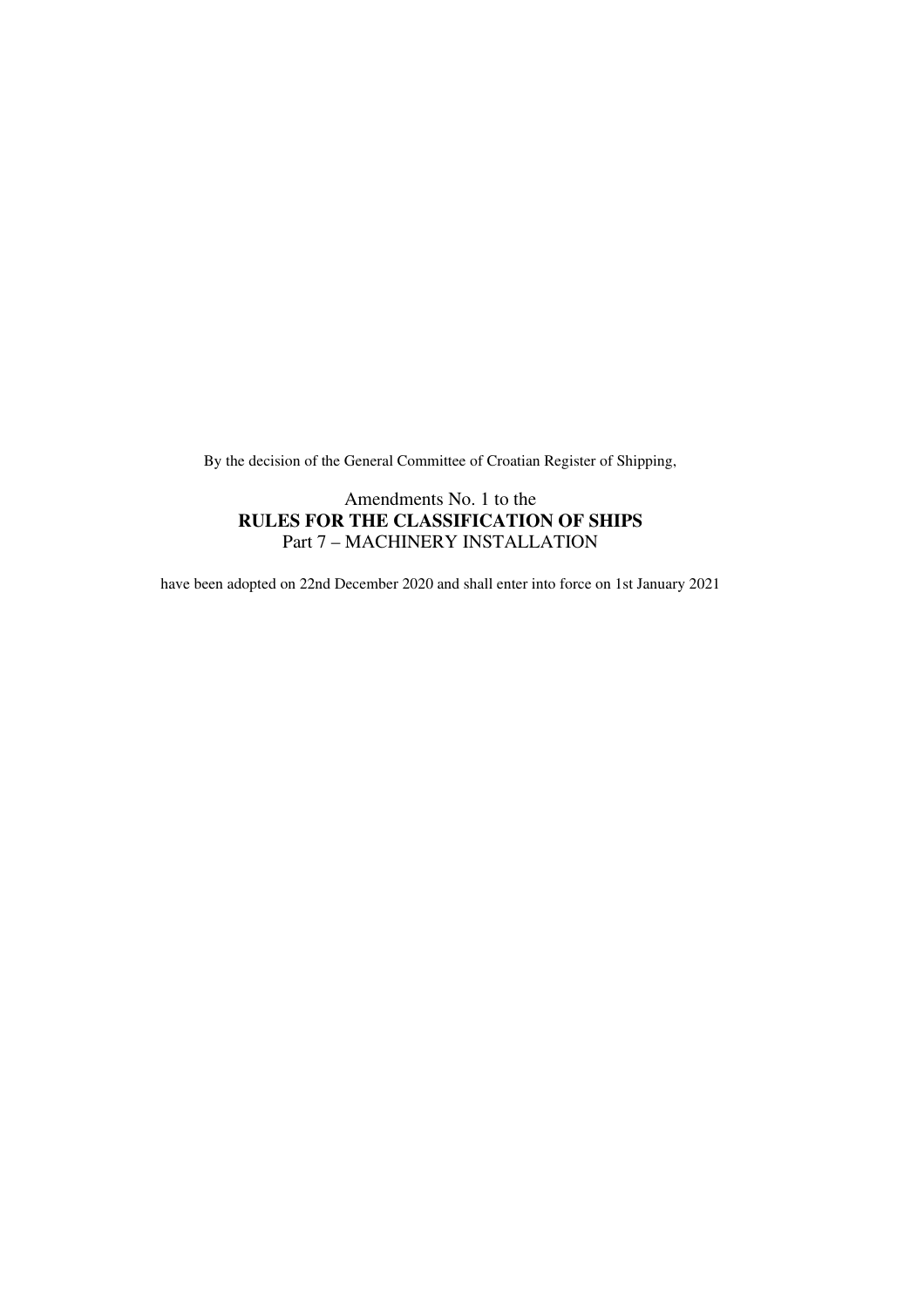By the decision of the General Committee of Croatian Register of Shipping,

#### Amendments No. 1 to the **RULES FOR THE CLASSIFICATION OF SHIPS**  Part 7 – MACHINERY INSTALLATION

have been adopted on 22nd December 2020 and shall enter into force on 1st January 2021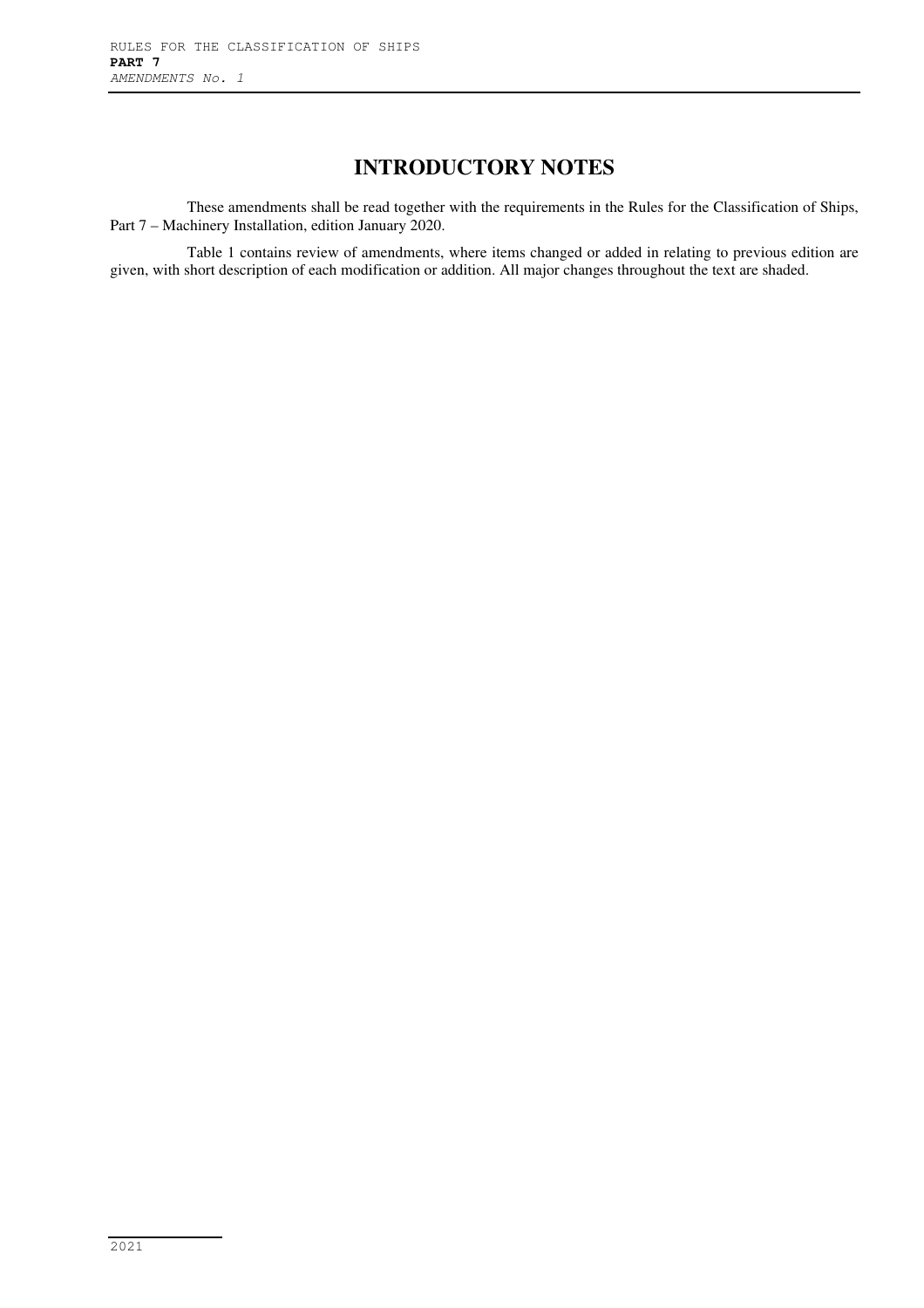## **INTRODUCTORY NOTES**

These amendments shall be read together with the requirements in the Rules for the Classification of Ships, Part 7 – Machinery Installation, edition January 2020.

Table 1 contains review of amendments, where items changed or added in relating to previous edition are given, with short description of each modification or addition. All major changes throughout the text are shaded.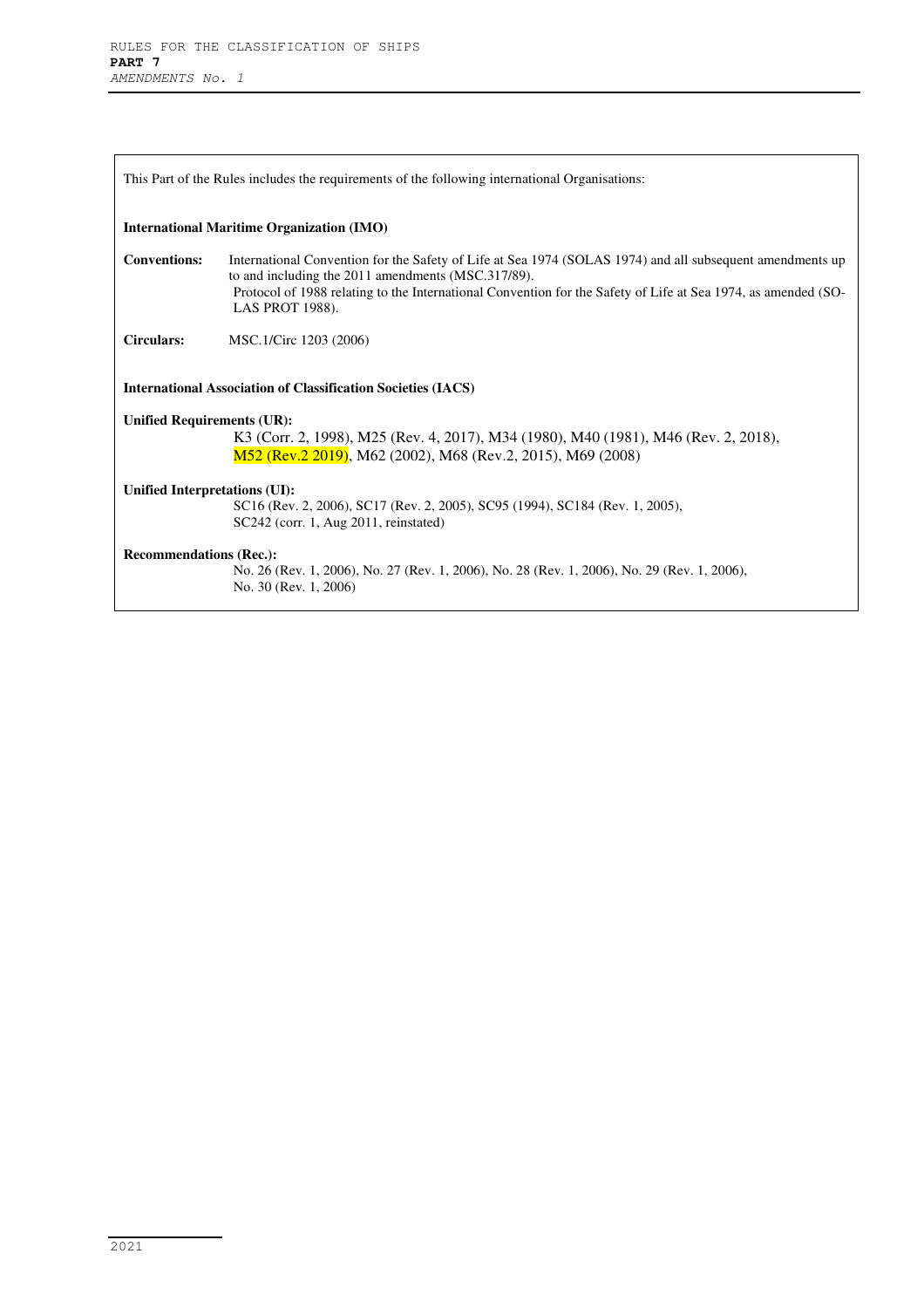| This Part of the Rules includes the requirements of the following international Organizations:                                                                                          |                                                                                                                                                                                                                                                                                                            |  |
|-----------------------------------------------------------------------------------------------------------------------------------------------------------------------------------------|------------------------------------------------------------------------------------------------------------------------------------------------------------------------------------------------------------------------------------------------------------------------------------------------------------|--|
| <b>International Maritime Organization (IMO)</b>                                                                                                                                        |                                                                                                                                                                                                                                                                                                            |  |
| <b>Conventions:</b>                                                                                                                                                                     | International Convention for the Safety of Life at Sea 1974 (SOLAS 1974) and all subsequent amendments up<br>to and including the 2011 amendments (MSC.317/89).<br>Protocol of 1988 relating to the International Convention for the Safety of Life at Sea 1974, as amended (SO-<br><b>LAS PROT 1988).</b> |  |
| <b>Circulars:</b>                                                                                                                                                                       | MSC.1/Circ 1203 (2006)                                                                                                                                                                                                                                                                                     |  |
| <b>International Association of Classification Societies (IACS)</b>                                                                                                                     |                                                                                                                                                                                                                                                                                                            |  |
| <b>Unified Requirements (UR):</b><br>K3 (Corr. 2, 1998), M25 (Rev. 4, 2017), M34 (1980), M40 (1981), M46 (Rev. 2, 2018),<br>M52 (Rev.2 2019), M62 (2002), M68 (Rev.2, 2015), M69 (2008) |                                                                                                                                                                                                                                                                                                            |  |
| Unified Interpretations (UI):                                                                                                                                                           | SC16 (Rev. 2, 2006), SC17 (Rev. 2, 2005), SC95 (1994), SC184 (Rev. 1, 2005),<br>SC242 (corr. 1, Aug 2011, reinstated)                                                                                                                                                                                      |  |
| <b>Recommendations (Rec.):</b>                                                                                                                                                          |                                                                                                                                                                                                                                                                                                            |  |
|                                                                                                                                                                                         | No. 26 (Rev. 1, 2006), No. 27 (Rev. 1, 2006), No. 28 (Rev. 1, 2006), No. 29 (Rev. 1, 2006),<br>No. 30 (Rev. 1, 2006)                                                                                                                                                                                       |  |
|                                                                                                                                                                                         |                                                                                                                                                                                                                                                                                                            |  |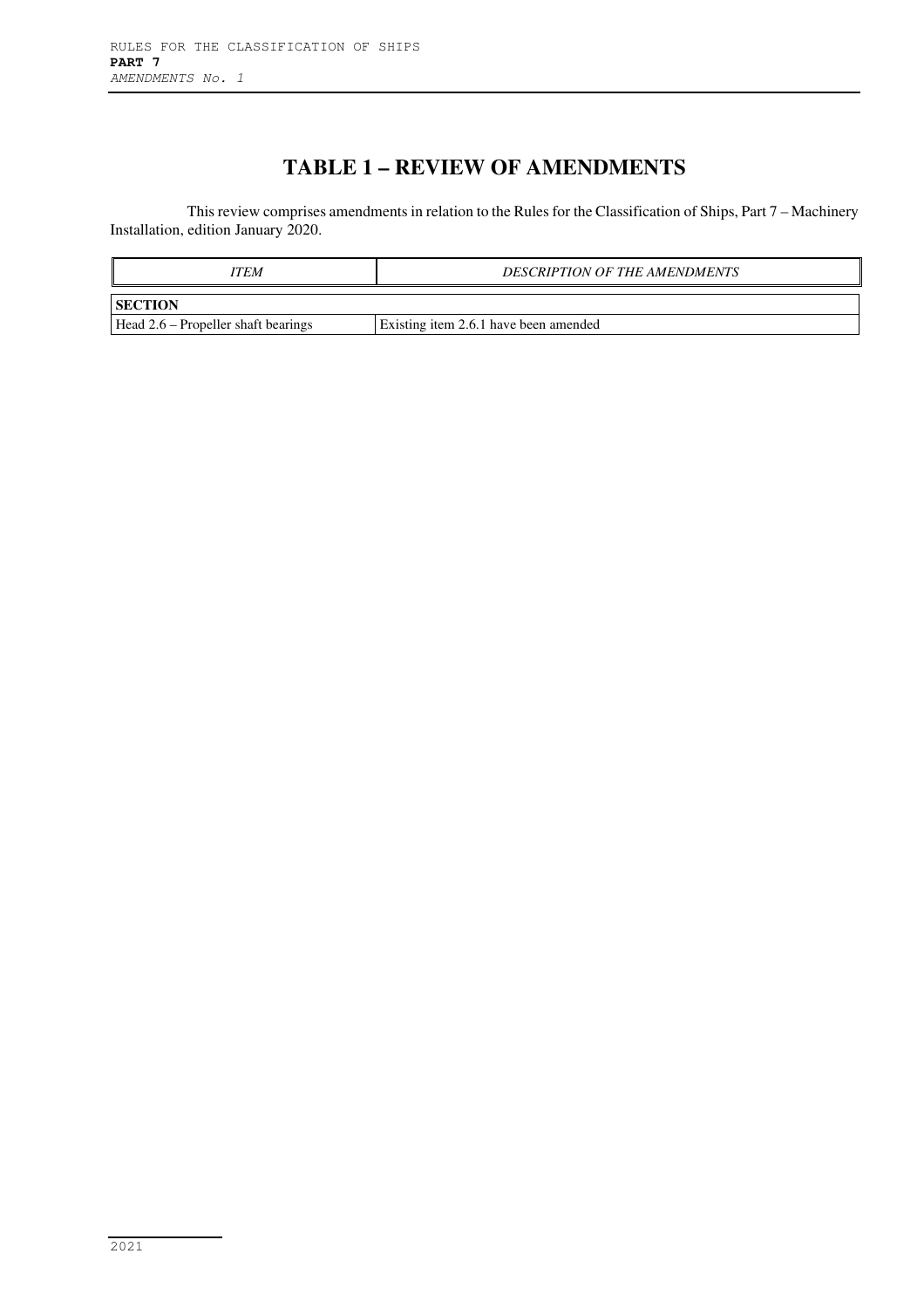# **TABLE 1 – REVIEW OF AMENDMENTS**

This review comprises amendments in relation to the Rules for the Classification of Ships, Part 7 – Machinery Installation, edition January 2020.

| ITEM                                                 | <b>DESCRIPTION OF THE AMENDMENTS</b>  |  |  |
|------------------------------------------------------|---------------------------------------|--|--|
| <b>SECTION</b>                                       |                                       |  |  |
| $\text{Head } 2.6 - \text{Propeller shaft bearings}$ | Existing item 2.6.1 have been amended |  |  |